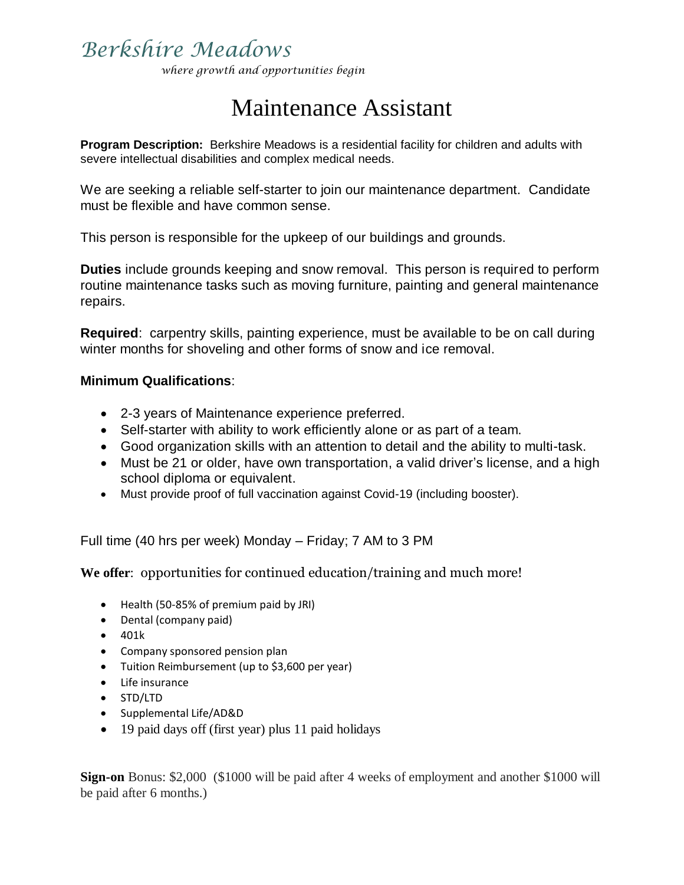## *Berkshire Meadows*

*where growth and opportunities begin*

# Maintenance Assistant

**Program Description:** Berkshire Meadows is a residential facility for children and adults with severe intellectual disabilities and complex medical needs.

We are seeking a reliable self-starter to join our maintenance department. Candidate must be flexible and have common sense.

This person is responsible for the upkeep of our buildings and grounds.

**Duties** include grounds keeping and snow removal. This person is required to perform routine maintenance tasks such as moving furniture, painting and general maintenance repairs.

**Required**: carpentry skills, painting experience, must be available to be on call during winter months for shoveling and other forms of snow and ice removal.

#### **Minimum Qualifications**:

- 2-3 years of Maintenance experience preferred.
- Self-starter with ability to work efficiently alone or as part of a team.
- Good organization skills with an attention to detail and the ability to multi-task.
- Must be 21 or older, have own transportation, a valid driver's license, and a high school diploma or equivalent.
- Must provide proof of full vaccination against Covid-19 (including booster).

Full time (40 hrs per week) Monday – Friday; 7 AM to 3 PM

**We offer**: opportunities for continued education/training and much more!

- Health (50-85% of premium paid by JRI)
- Dental (company paid)
- $401k$
- Company sponsored pension plan
- Tuition Reimbursement (up to \$3,600 per year)
- Life insurance
- STD/LTD
- Supplemental Life/AD&D
- 19 paid days off (first year) plus 11 paid holidays

**Sign-on** Bonus: \$2,000 (\$1000 will be paid after 4 weeks of employment and another \$1000 will be paid after 6 months.)